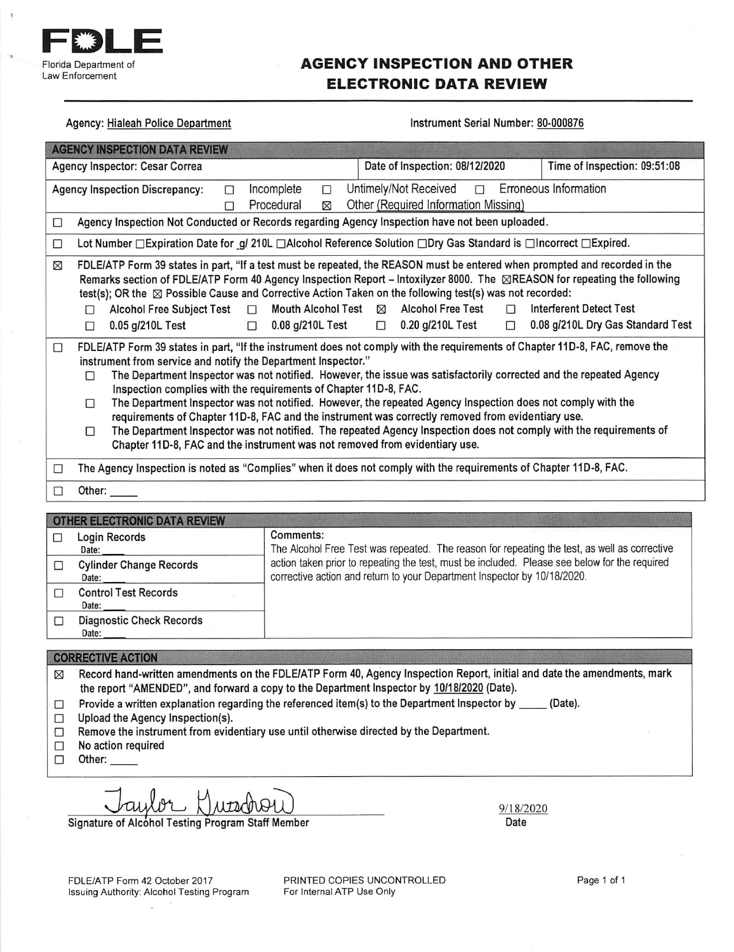

# **AGENCY INSPECTION AND OTHER ELECTRONIC DATA REVIEW**

**Agency: Hialeah Police Department** 

#### Instrument Serial Number: 80-000876

| <b>AGENCY INSPECTION DATA REVIEW</b>                                                                                                                                                                                                                                                                                                                                                                                                                                                                                                                                                                                                                                                                                                                                                                                                |                                                                                                                                                                                                                                                                                                                                                                                                            |  |  |
|-------------------------------------------------------------------------------------------------------------------------------------------------------------------------------------------------------------------------------------------------------------------------------------------------------------------------------------------------------------------------------------------------------------------------------------------------------------------------------------------------------------------------------------------------------------------------------------------------------------------------------------------------------------------------------------------------------------------------------------------------------------------------------------------------------------------------------------|------------------------------------------------------------------------------------------------------------------------------------------------------------------------------------------------------------------------------------------------------------------------------------------------------------------------------------------------------------------------------------------------------------|--|--|
| Date of Inspection: 08/12/2020<br>Time of Inspection: 09:51:08<br>Agency Inspector: Cesar Correa                                                                                                                                                                                                                                                                                                                                                                                                                                                                                                                                                                                                                                                                                                                                    |                                                                                                                                                                                                                                                                                                                                                                                                            |  |  |
| Incomplete<br><b>Agency Inspection Discrepancy:</b><br>П<br>П<br>Procedural<br>⊠<br>П                                                                                                                                                                                                                                                                                                                                                                                                                                                                                                                                                                                                                                                                                                                                               | Untimely/Not Received<br>Erroneous Information<br>$\Box$<br>Other (Required Information Missing)                                                                                                                                                                                                                                                                                                           |  |  |
| Agency Inspection Not Conducted or Records regarding Agency Inspection have not been uploaded.<br>□                                                                                                                                                                                                                                                                                                                                                                                                                                                                                                                                                                                                                                                                                                                                 |                                                                                                                                                                                                                                                                                                                                                                                                            |  |  |
| □                                                                                                                                                                                                                                                                                                                                                                                                                                                                                                                                                                                                                                                                                                                                                                                                                                   | Lot Number □ Expiration Date for g/ 210L □ Alcohol Reference Solution □ Dry Gas Standard is □ Incorrect □ Expired.                                                                                                                                                                                                                                                                                         |  |  |
| ⊠<br>test(s); OR the X Possible Cause and Corrective Action Taken on the following test(s) was not recorded:<br>Mouth Alcohol Test ⊠<br><b>Alcohol Free Subject Test</b><br>$\Box$<br>П<br>0.08 g/210L Test<br>0.05 g/210L Test<br>$\mathcal{L}^{\text{max}}$<br>П                                                                                                                                                                                                                                                                                                                                                                                                                                                                                                                                                                  | FDLE/ATP Form 39 states in part, "If a test must be repeated, the REASON must be entered when prompted and recorded in the<br>Remarks section of FDLE/ATP Form 40 Agency Inspection Report - Intoxilyzer 8000. The <b>SREASON</b> for repeating the following<br><b>Alcohol Free Test</b><br><b>Interferent Detect Test</b><br>П<br>$\Box$ 0.20 g/210L Test<br>0.08 g/210L Dry Gas Standard Test<br>$\Box$ |  |  |
| FDLE/ATP Form 39 states in part, "If the instrument does not comply with the requirements of Chapter 11D-8, FAC, remove the<br>□<br>instrument from service and notify the Department Inspector."<br>The Department Inspector was not notified. However, the issue was satisfactorily corrected and the repeated Agency<br>П<br>Inspection complies with the requirements of Chapter 11D-8, FAC.<br>The Department Inspector was not notified. However, the repeated Agency Inspection does not comply with the<br>п<br>requirements of Chapter 11D-8, FAC and the instrument was correctly removed from evidentiary use.<br>The Department Inspector was not notified. The repeated Agency Inspection does not comply with the requirements of<br>□<br>Chapter 11D-8, FAC and the instrument was not removed from evidentiary use. |                                                                                                                                                                                                                                                                                                                                                                                                            |  |  |
| □                                                                                                                                                                                                                                                                                                                                                                                                                                                                                                                                                                                                                                                                                                                                                                                                                                   | The Agency Inspection is noted as "Complies" when it does not comply with the requirements of Chapter 11D-8, FAC.                                                                                                                                                                                                                                                                                          |  |  |
| Other: $\_\_$<br>□                                                                                                                                                                                                                                                                                                                                                                                                                                                                                                                                                                                                                                                                                                                                                                                                                  |                                                                                                                                                                                                                                                                                                                                                                                                            |  |  |
| OTHER ELECTRONIC DATA REVIEW                                                                                                                                                                                                                                                                                                                                                                                                                                                                                                                                                                                                                                                                                                                                                                                                        |                                                                                                                                                                                                                                                                                                                                                                                                            |  |  |
| $\sim$                                                                                                                                                                                                                                                                                                                                                                                                                                                                                                                                                                                                                                                                                                                                                                                                                              |                                                                                                                                                                                                                                                                                                                                                                                                            |  |  |

| <b>UTHER ELECTRONIC DATA REVIEW</b>      |                                                                                                                                                                           |  |
|------------------------------------------|---------------------------------------------------------------------------------------------------------------------------------------------------------------------------|--|
| Login Records<br>Date:                   | Comments:<br>The Alcohol Free Test was repeated. The reason for repeating the test, as well as corrective                                                                 |  |
| <b>Cylinder Change Records</b><br>Date:  | action taken prior to repeating the test, must be included. Please see below for the required<br>corrective action and return to your Department Inspector by 10/18/2020. |  |
| <b>Control Test Records</b><br>Date:     |                                                                                                                                                                           |  |
| <b>Diagnostic Check Records</b><br>Date: |                                                                                                                                                                           |  |
|                                          |                                                                                                                                                                           |  |

### **CORRECTIVE ACTION**

Record hand-written amendments on the FDLE/ATP Form 40, Agency Inspection Report, initial and date the amendments, mark  $\boxtimes$ the report "AMENDED", and forward a copy to the Department Inspector by 10/18/2020 (Date).

- Provide a written explanation regarding the referenced item(s) to the Department Inspector by \_\_\_\_\_ (Date).  $\Box$
- $\Box$ Upload the Agency Inspection(s).
- Remove the instrument from evidentiary use until otherwise directed by the Department.  $\Box$
- No action required  $\Box$
- $\Box$ Other:

utedroy

Signature of Alcohol Testing Program Staff Member

9/18/2020 Date

FDLE/ATP Form 42 October 2017 Issuing Authority: Alcohol Testing Program

PRINTED COPIES UNCONTROLLED For Internal ATP Use Only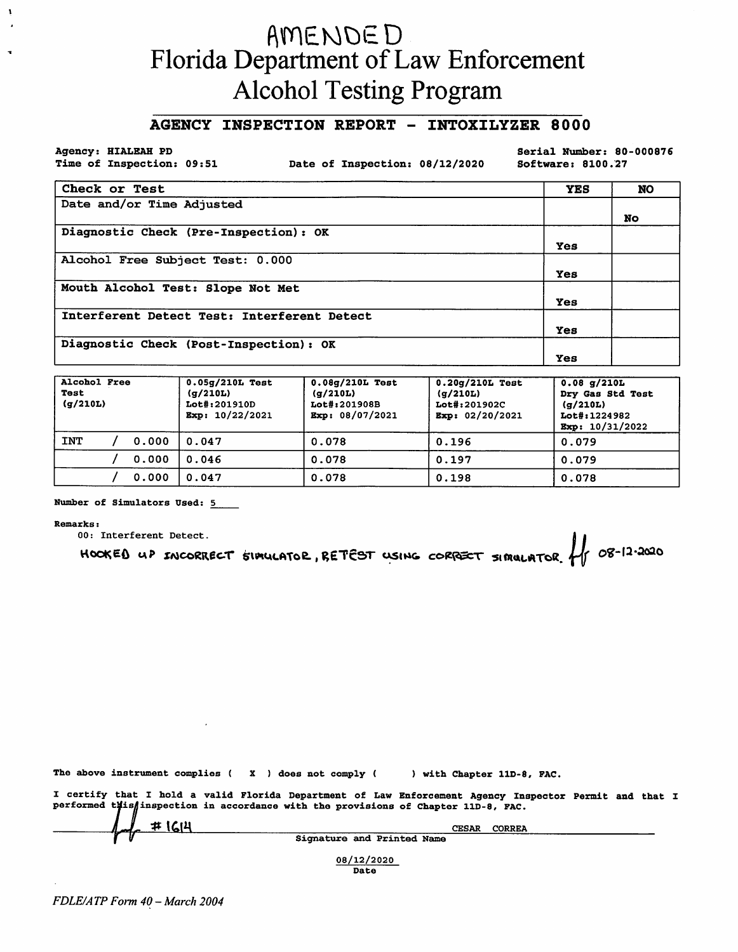# AMENDED<br>Florida Department of Law Enforcement **Alcohol Testing Program**

## AGENCY INSPECTION REPORT - INTOXILYZER 8000

Agency: HIALEAH PD Time of Inspection: 09:51

Date of Inspection: 08/12/2020

Serial Number: 80-000876 Software: 8100.27

| Check or Test                               | <b>YES</b> | <b>NO</b> |
|---------------------------------------------|------------|-----------|
| Date and/or Time Adjusted                   |            |           |
|                                             |            | <b>No</b> |
| Diagnostic Check (Pre-Inspection): OK       |            |           |
|                                             | Yes        |           |
| Alcohol Free Subject Test: 0.000            |            |           |
|                                             | Yes        |           |
| Mouth Alcohol Test: Slope Not Met           |            |           |
|                                             | Yes        |           |
| Interferent Detect Test: Interferent Detect |            |           |
|                                             | Yes        |           |
| Diagnostic Check (Post-Inspection): OK      |            |           |
|                                             | Yes        |           |

| Alcohol Free<br>Test<br>(g/210L) |  |       | $0.05g/210L$ Test<br>(q/210L)<br>Lot#:201910D<br>Exp: $10/22/2021$ | $0.08q/210L$ Test<br>(q/210L)<br>Lot#:201908B<br>Exp: 08/07/2021 | $0.20g/210L$ Test<br>(g/210L)<br>Lot#:201902C<br>Exp: $02/20/2021$ | $0.08$ g/210L<br>Dry Gas Std Test<br>(g/210L)<br>Lot#:1224982<br>Bxp: 10/31/2022 |
|----------------------------------|--|-------|--------------------------------------------------------------------|------------------------------------------------------------------|--------------------------------------------------------------------|----------------------------------------------------------------------------------|
| <b>INT</b>                       |  | 0.000 | 0.047                                                              | 0.078                                                            | 0.196                                                              | 0.079                                                                            |
|                                  |  | 0.000 | 0.046                                                              | 0.078                                                            | 0.197                                                              | 0.079                                                                            |
|                                  |  | 0.000 | 0.047                                                              | 0.078                                                            | 0.198                                                              | 0.078                                                                            |

Number of Simulators Used: 5

**Remarks:** 

00: Interferent Detect.

HOOKED UP INCORRECT SIMULATOR, RETEST USING CORRECT SIMULATOR 1 08-12-2020

The above instrument complies (X) does not comply (

) with Chapter 11D-8, FAC.

I certify that I hold a valid Florida Department of Law Enforcement Agency Inspector Permit and that I performed this finspection in accordance with the provisions of Chapter 11D-8, FAC. <u>#1614</u> CESAR CORREA

Signature and Printed Name